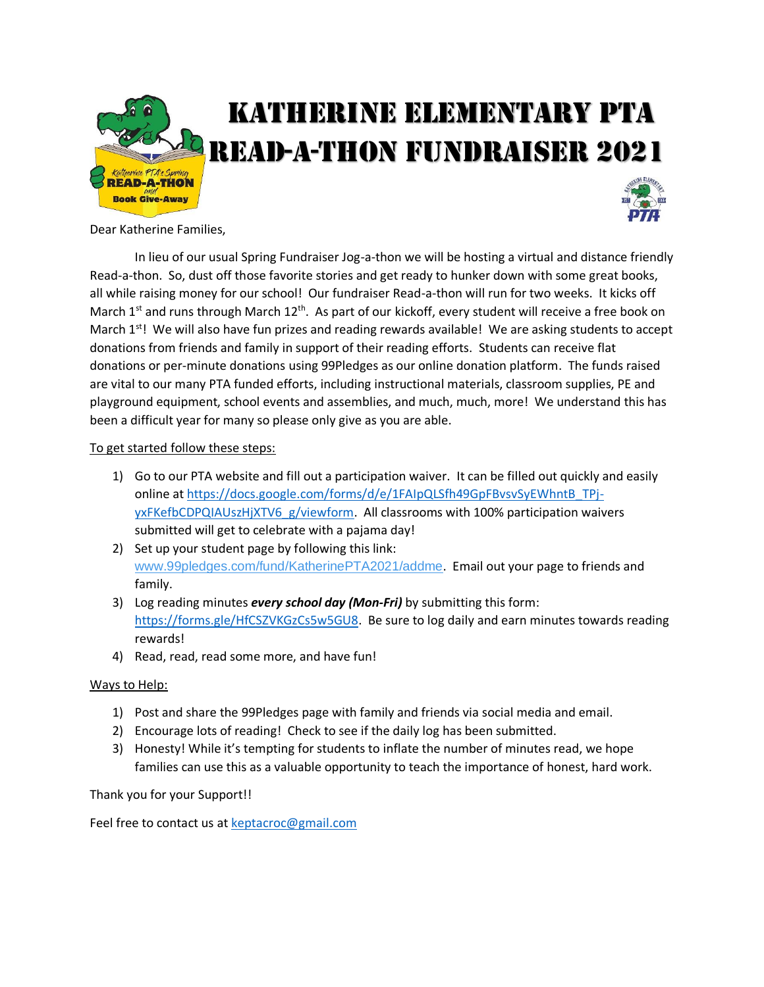

Dear Katherine Families,

In lieu of our usual Spring Fundraiser Jog-a-thon we will be hosting a virtual and distance friendly Read-a-thon. So, dust off those favorite stories and get ready to hunker down with some great books, all while raising money for our school! Our fundraiser Read-a-thon will run for two weeks. It kicks off March 1<sup>st</sup> and runs through March 12<sup>th</sup>. As part of our kickoff, every student will receive a free book on March  $1^{st}$ ! We will also have fun prizes and reading rewards available! We are asking students to accept donations from friends and family in support of their reading efforts. Students can receive flat donations or per-minute donations using 99Pledges as our online donation platform. The funds raised are vital to our many PTA funded efforts, including instructional materials, classroom supplies, PE and playground equipment, school events and assemblies, and much, much, more! We understand this has been a difficult year for many so please only give as you are able.

## To get started follow these steps:

- 1) Go to our PTA website and fill out a participation waiver. It can be filled out quickly and easily online at [https://docs.google.com/forms/d/e/1FAIpQLSfh49GpFBvsvSyEWhntB\\_TPj](https://docs.google.com/forms/d/e/1FAIpQLSfh49GpFBvsvSyEWhntB_TPj-yxFKefbCDPQIAUszHjXTV6_g/viewform)[yxFKefbCDPQIAUszHjXTV6\\_g/viewform.](https://docs.google.com/forms/d/e/1FAIpQLSfh49GpFBvsvSyEWhntB_TPj-yxFKefbCDPQIAUszHjXTV6_g/viewform) All classrooms with 100% participation waivers submitted will get to celebrate with a pajama day!
- 2) Set up your student page by following this link: [www.99pledges.com/fund/KatherinePTA2021/addme](http://www.99pledges.com/fund/KatherinePTA2021/addme). Email out your page to friends and family.
- 3) Log reading minutes *every school day (Mon-Fri)* by submitting this form: [https://forms.gle/HfCSZVKGzCs5w5GU8.](https://forms.gle/HfCSZVKGzCs5w5GU8) Be sure to log daily and earn minutes towards reading rewards!
- 4) Read, read, read some more, and have fun!

## Ways to Help:

- 1) Post and share the 99Pledges page with family and friends via social media and email.
- 2) Encourage lots of reading! Check to see if the daily log has been submitted.
- 3) Honesty! While it's tempting for students to inflate the number of minutes read, we hope families can use this as a valuable opportunity to teach the importance of honest, hard work.

Thank you for your Support!!

Feel free to contact us a[t keptacroc@gmail.com](mailto:keptacroc@gmail.com?subject=Read-a-thon%202021)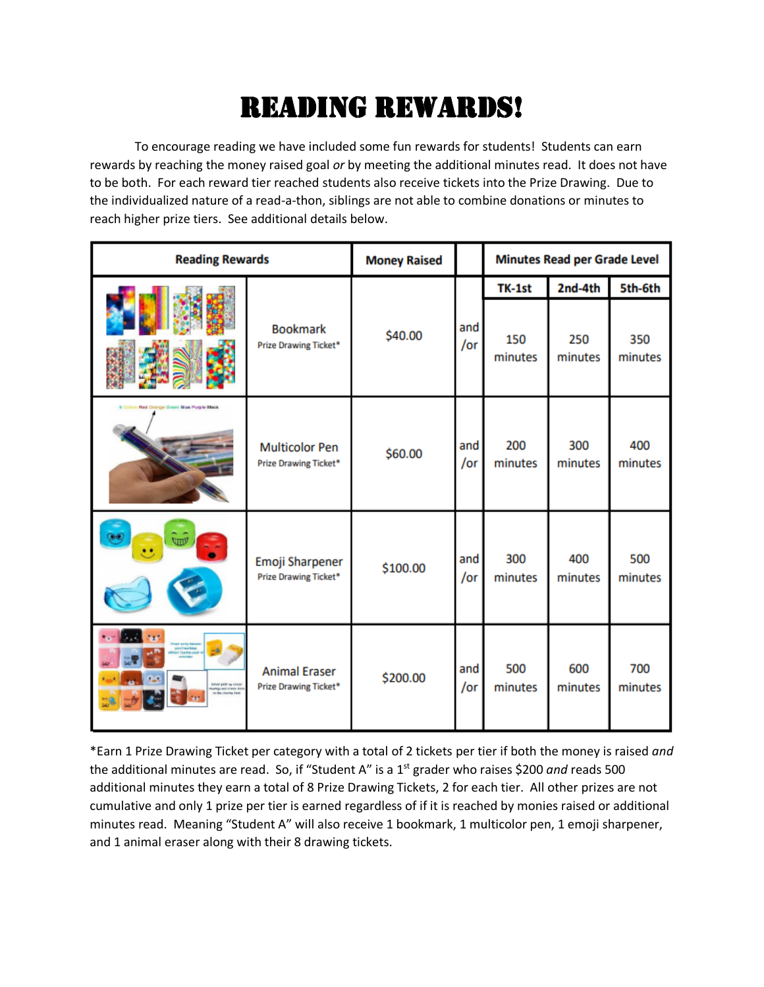## Reading Rewards!

To encourage reading we have included some fun rewards for students! Students can earn rewards by reaching the money raised goal *or* by meeting the additional minutes read. It does not have to be both. For each reward tier reached students also receive tickets into the Prize Drawing. Due to the individualized nature of a read-a-thon, siblings are not able to combine donations or minutes to reach higher prize tiers. See additional details below.

| <b>Reading Rewards</b>                                                                                          |                                                | <b>Money Raised</b> |            | <b>Minutes Read per Grade Level</b> |                |                |
|-----------------------------------------------------------------------------------------------------------------|------------------------------------------------|---------------------|------------|-------------------------------------|----------------|----------------|
|                                                                                                                 |                                                |                     |            | TK-1st                              | 2nd-4th        | 5th-6th        |
|                                                                                                                 | <b>Bookmark</b><br>Prize Drawing Ticket*       | \$40.00             | and<br>/or | 150<br>minutes                      | 250<br>minutes | 350<br>minutes |
| Red Ontrige Green Blue Purple Black                                                                             | <b>Multicolor Pen</b><br>Prize Drawing Ticket* | \$60.00             | and<br>/or | 200<br>minutes                      | 300<br>minutes | 400<br>minutes |
| w                                                                                                               | Emoji Sharpener<br>Prize Drawing Ticket*       | \$100.00            | and<br>/or | 300<br>minutes                      | 400<br>minutes | 500<br>minutes |
| inaar aasig maaaras<br>- poost markings<br><b>Taaring page</b><br>between packing a several<br>ump anticipas me | <b>Animal Eraser</b><br>Prize Drawing Ticket*  | \$200.00            | and<br>/or | 500<br>minutes                      | 600<br>minutes | 700<br>minutes |

\*Earn 1 Prize Drawing Ticket per category with a total of 2 tickets per tier if both the money is raised *and* the additional minutes are read. So, if "Student A" is a 1st grader who raises \$200 *and* reads 500 additional minutes they earn a total of 8 Prize Drawing Tickets, 2 for each tier. All other prizes are not cumulative and only 1 prize per tier is earned regardless of if it is reached by monies raised or additional minutes read. Meaning "Student A" will also receive 1 bookmark, 1 multicolor pen, 1 emoji sharpener, and 1 animal eraser along with their 8 drawing tickets.